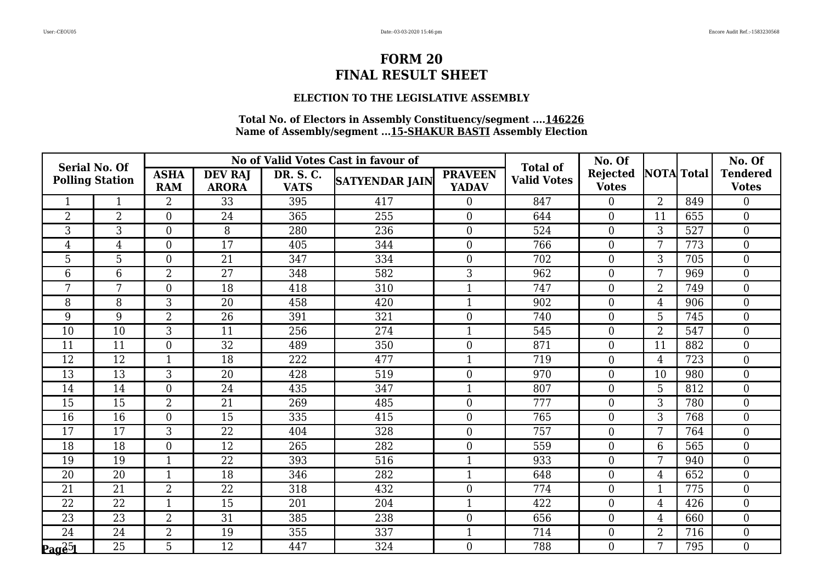#### **ELECTION TO THE LEGISLATIVE ASSEMBLY**

| <b>Serial No. Of</b> |                        |                           |                                |                          | No of Valid Votes Cast in favour of | <b>Total of</b>                | No. Of             |                                 |                   | No. Of |                                 |
|----------------------|------------------------|---------------------------|--------------------------------|--------------------------|-------------------------------------|--------------------------------|--------------------|---------------------------------|-------------------|--------|---------------------------------|
|                      | <b>Polling Station</b> | <b>ASHA</b><br><b>RAM</b> | <b>DEV RAJ</b><br><b>ARORA</b> | DR. S. C.<br><b>VATS</b> | <b>SATYENDAR JAIN</b>               | <b>PRAVEEN</b><br><b>YADAV</b> | <b>Valid Votes</b> | <b>Rejected</b><br><b>Votes</b> | <b>NOTA</b> Total |        | <b>Tendered</b><br><b>Votes</b> |
|                      |                        | 2                         | 33                             | 395                      | 417                                 | $\overline{0}$                 | 847                | $\boldsymbol{0}$                | $\overline{2}$    | 849    | 0                               |
| $\overline{2}$       | $\overline{2}$         | $\overline{0}$            | 24                             | 365                      | 255                                 | $\overline{0}$                 | 644                | $\boldsymbol{0}$                | 11                | 655    | $\boldsymbol{0}$                |
| 3                    | 3                      | $\overline{0}$            | 8                              | 280                      | 236                                 | $\overline{0}$                 | 524                | $\boldsymbol{0}$                | 3                 | 527    | $\overline{0}$                  |
| 4                    | 4                      | $\theta$                  | 17                             | 405                      | 344                                 | $\overline{0}$                 | 766                | $\overline{0}$                  | 7                 | 773    | $\overline{0}$                  |
| 5                    | $\overline{5}$         | $\overline{0}$            | $\overline{21}$                | 347                      | 334                                 | $\overline{0}$                 | 702                | $\boldsymbol{0}$                | 3                 | 705    | $\overline{0}$                  |
| 6                    | 6                      | $\overline{2}$            | 27                             | 348                      | 582                                 | 3                              | 962                | $\boldsymbol{0}$                | 7                 | 969    | $\overline{0}$                  |
| 7                    | 7                      | $\overline{0}$            | 18                             | 418                      | 310                                 |                                | 747                | $\boldsymbol{0}$                | $\overline{2}$    | 749    | $\overline{0}$                  |
| 8                    | 8                      | 3                         | 20                             | 458                      | 420                                 |                                | 902                | $\boldsymbol{0}$                | $\overline{4}$    | 906    | 0                               |
| 9                    | 9                      | $\overline{2}$            | 26                             | 391                      | 321                                 | $\overline{0}$                 | 740                | $\boldsymbol{0}$                | 5                 | 745    | $\overline{0}$                  |
| 10                   | 10                     | 3                         | 11                             | 256                      | 274                                 |                                | 545                | $\boldsymbol{0}$                | $\overline{2}$    | 547    | $\overline{0}$                  |
| 11                   | 11                     | $\overline{0}$            | $\overline{32}$                | 489                      | 350                                 | $\overline{0}$                 | 871                | $\boldsymbol{0}$                | 11                | 882    | $\overline{0}$                  |
| 12                   | 12                     | $\mathbf{1}$              | 18                             | 222                      | 477                                 | 1                              | 719                | $\boldsymbol{0}$                | $\overline{4}$    | 723    | $\overline{0}$                  |
| 13                   | 13                     | 3                         | 20                             | 428                      | 519                                 | $\overline{0}$                 | 970                | $\boldsymbol{0}$                | 10                | 980    | $\overline{0}$                  |
| 14                   | 14                     | $\overline{0}$            | 24                             | 435                      | 347                                 |                                | 807                | $\boldsymbol{0}$                | $\overline{5}$    | 812    | $\overline{0}$                  |
| 15                   | 15                     | $\overline{2}$            | 21                             | 269                      | 485                                 | $\overline{0}$                 | 777                | $\boldsymbol{0}$                | 3                 | 780    | $\overline{0}$                  |
| 16                   | 16                     | $\overline{0}$            | 15                             | 335                      | 415                                 | $\overline{0}$                 | 765                | $\overline{0}$                  | 3                 | 768    | $\overline{0}$                  |
| 17                   | 17                     | 3                         | 22                             | 404                      | 328                                 | $\overline{0}$                 | 757                | $\boldsymbol{0}$                | 7                 | 764    | $\overline{0}$                  |
| 18                   | 18                     | $\overline{0}$            | 12                             | 265                      | 282                                 | $\overline{0}$                 | 559                | $\boldsymbol{0}$                | 6                 | 565    | $\overline{0}$                  |
| 19                   | 19                     | $\mathbf{1}$              | 22                             | 393                      | 516                                 |                                | 933                | $\boldsymbol{0}$                | 7                 | 940    | $\overline{0}$                  |
| $\overline{20}$      | $\overline{20}$        | $\mathbf{1}$              | 18                             | 346                      | 282                                 |                                | 648                | $\boldsymbol{0}$                | $\overline{4}$    | 652    | $\overline{0}$                  |
| 21                   | 21                     | $\overline{2}$            | 22                             | 318                      | 432                                 | $\overline{0}$                 | 774                | $\overline{0}$                  | $\mathbf{1}$      | 775    | $\overline{0}$                  |
| 22                   | 22                     | $\mathbf{1}$              | 15                             | 201                      | 204                                 |                                | 422                | $\boldsymbol{0}$                | $\overline{4}$    | 426    | $\overline{0}$                  |
| 23                   | 23                     | $\overline{2}$            | 31                             | 385                      | 238                                 | $\boldsymbol{0}$               | 656                | $\boldsymbol{0}$                | $\overline{4}$    | 660    | $\overline{0}$                  |
| 24                   | 24                     | $\overline{2}$            | 19                             | 355                      | 337                                 | 1                              | 714                | $\boldsymbol{0}$                | $\overline{2}$    | 716    | $\overline{0}$                  |
| $\mathbf{Paq\&}5$    | 25                     | 5                         | 12                             | 447                      | 324                                 | $\overline{0}$                 | 788                | $\boldsymbol{0}$                | 7                 | 795    | $\overline{0}$                  |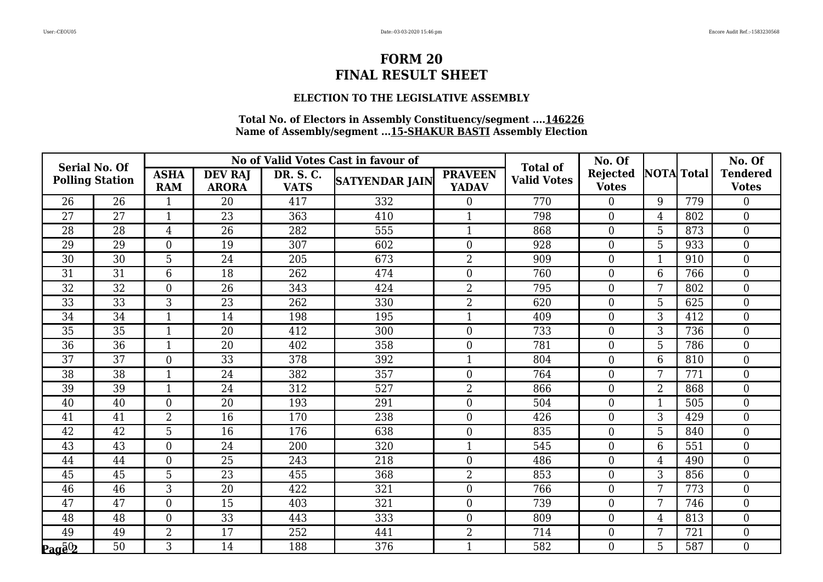#### **ELECTION TO THE LEGISLATIVE ASSEMBLY**

| <b>Serial No. Of</b>                                                      |                        |                           |                                |                          | No of Valid Votes Cast in favour of | <b>Total of</b>                | No. Of             |                                 |                   | No. Of |                                 |
|---------------------------------------------------------------------------|------------------------|---------------------------|--------------------------------|--------------------------|-------------------------------------|--------------------------------|--------------------|---------------------------------|-------------------|--------|---------------------------------|
|                                                                           | <b>Polling Station</b> | <b>ASHA</b><br><b>RAM</b> | <b>DEV RAJ</b><br><b>ARORA</b> | DR. S. C.<br><b>VATS</b> | <b>SATYENDAR JAIN</b>               | <b>PRAVEEN</b><br><b>YADAV</b> | <b>Valid Votes</b> | <b>Rejected</b><br><b>Votes</b> | <b>NOTA</b> Total |        | <b>Tendered</b><br><b>Votes</b> |
| 26                                                                        | $\overline{26}$        |                           | 20                             | 417                      | 332                                 | $\overline{0}$                 | 770                | $\overline{0}$                  | 9                 | 779    | 0                               |
| 27                                                                        | 27                     | $\mathbf{1}$              | 23                             | 363                      | 410                                 |                                | 798                | $\boldsymbol{0}$                | $\overline{4}$    | 802    | $\boldsymbol{0}$                |
| 28                                                                        | 28                     | $\overline{4}$            | 26                             | 282                      | 555                                 | $\mathbf{1}$                   | 868                | $\boldsymbol{0}$                | 5                 | 873    | $\overline{0}$                  |
| 29                                                                        | 29                     | $\overline{0}$            | 19                             | 307                      | 602                                 | $\boldsymbol{0}$               | 928                | $\boldsymbol{0}$                | 5                 | 933    | $\overline{0}$                  |
| 30                                                                        | $\overline{30}$        | 5                         | 24                             | 205                      | 673                                 | $\overline{2}$                 | 909                | $\boldsymbol{0}$                | $\mathbf{1}$      | 910    | $\boldsymbol{0}$                |
| 31                                                                        | 31                     | 6                         | 18                             | 262                      | 474                                 | $\overline{0}$                 | 760                | $\overline{0}$                  | 6                 | 766    | $\overline{0}$                  |
| 32                                                                        | 32                     | $\Omega$                  | 26                             | 343                      | 424                                 | $\overline{2}$                 | 795                | $\boldsymbol{0}$                | 7                 | 802    | $\overline{0}$                  |
| 33                                                                        | 33                     | 3                         | 23                             | 262                      | 330                                 | $\overline{2}$                 | 620                | $\boldsymbol{0}$                | 5                 | 625    | $\boldsymbol{0}$                |
| 34                                                                        | 34                     | $\mathbf{1}$              | 14                             | 198                      | 195                                 | $\mathbf{1}$                   | 409                | $\overline{0}$                  | 3                 | 412    | $\boldsymbol{0}$                |
| 35                                                                        | 35                     | 1                         | 20                             | 412                      | 300                                 | $\boldsymbol{0}$               | 733                | $\overline{0}$                  | 3                 | 736    | $\overline{0}$                  |
| $\overline{36}$                                                           | $\overline{36}$        | $\mathbf{1}$              | $\overline{20}$                | 402                      | 358                                 | $\boldsymbol{0}$               | 781                | $\mathbf{0}$                    | 5                 | 786    | $\overline{0}$                  |
| 37                                                                        | 37                     | $\overline{0}$            | 33                             | 378                      | 392                                 | $\mathbf{1}$                   | 804                | $\boldsymbol{0}$                | $6\phantom{1}$    | 810    | $\boldsymbol{0}$                |
| 38                                                                        | 38                     |                           | 24                             | 382                      | 357                                 | $\boldsymbol{0}$               | 764                | $\boldsymbol{0}$                | 7                 | 771    | $\overline{0}$                  |
| 39                                                                        | $\overline{39}$        | $\mathbf{1}$              | 24                             | 312                      | 527                                 | $\overline{2}$                 | 866                | $\overline{0}$                  | $\overline{2}$    | 868    | $\overline{0}$                  |
| 40                                                                        | 40                     | $\Omega$                  | 20                             | 193                      | 291                                 | $\boldsymbol{0}$               | 504                | $\boldsymbol{0}$                | $\mathbf{1}$      | 505    | $\boldsymbol{0}$                |
| 41                                                                        | 41                     | $\overline{2}$            | 16                             | 170                      | 238                                 | $\boldsymbol{0}$               | 426                | $\boldsymbol{0}$                | 3                 | 429    | $\overline{0}$                  |
| 42                                                                        | 42                     | 5                         | 16                             | 176                      | 638                                 | $\boldsymbol{0}$               | 835                | $\overline{0}$                  | 5                 | 840    | $\overline{0}$                  |
| 43                                                                        | 43                     | $\overline{0}$            | 24                             | 200                      | 320                                 |                                | 545                | $\mathbf{0}$                    | 6                 | 551    | $\boldsymbol{0}$                |
| 44                                                                        | 44                     | $\overline{0}$            | $\overline{25}$                | 243                      | 218                                 | $\boldsymbol{0}$               | 486                | $\boldsymbol{0}$                | $\overline{4}$    | 490    | $\overline{0}$                  |
| 45                                                                        | 45                     | 5                         | $\overline{23}$                | 455                      | 368                                 | $\overline{2}$                 | 853                | $\overline{0}$                  | 3                 | 856    | $\overline{0}$                  |
| 46                                                                        | 46                     | 3                         | 20                             | 422                      | 321                                 | $\boldsymbol{0}$               | 766                | $\boldsymbol{0}$                | 7                 | 773    | 0                               |
| 47                                                                        | 47                     | $\overline{0}$            | 15                             | 403                      | 321                                 | $\boldsymbol{0}$               | 739                | $\boldsymbol{0}$                | 7                 | 746    | $\overline{0}$                  |
| 48                                                                        | 48                     | $\overline{0}$            | 33                             | 443                      | 333                                 | $\boldsymbol{0}$               | 809                | $\overline{0}$                  | $\overline{4}$    | 813    | $\overline{0}$                  |
| 49                                                                        | 49                     | $\overline{2}$            | 17                             | 252                      | 441                                 | $\overline{2}$                 | 714                | $\boldsymbol{0}$                | 7                 | 721    | 0                               |
| $\mathbf{p}_{\mathbf{a}\mathbf{g}}\mathbf{\bar{e}}\mathbf{\underline{0}}$ | $\overline{50}$        | 3                         | 14                             | 188                      | 376                                 |                                | 582                | $\boldsymbol{0}$                | 5                 | 587    | $\boldsymbol{0}$                |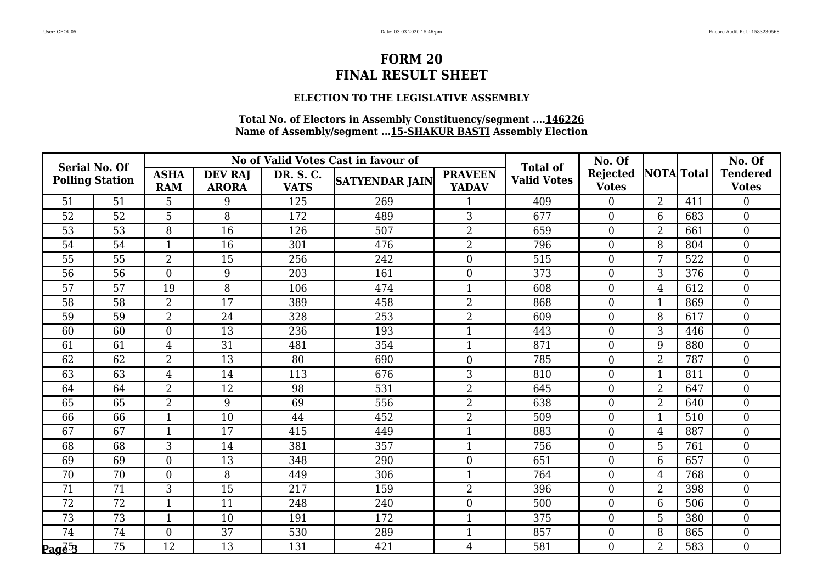#### **ELECTION TO THE LEGISLATIVE ASSEMBLY**

| <b>Serial No. Of</b>         |                        |                           |                                |                          | No of Valid Votes Cast in favour of | <b>Total of</b>                | No. Of             |                                 |                   | No. Of |                                 |
|------------------------------|------------------------|---------------------------|--------------------------------|--------------------------|-------------------------------------|--------------------------------|--------------------|---------------------------------|-------------------|--------|---------------------------------|
|                              | <b>Polling Station</b> | <b>ASHA</b><br><b>RAM</b> | <b>DEV RAJ</b><br><b>ARORA</b> | DR. S. C.<br><b>VATS</b> | <b>SATYENDAR JAIN</b>               | <b>PRAVEEN</b><br><b>YADAV</b> | <b>Valid Votes</b> | <b>Rejected</b><br><b>Votes</b> | <b>NOTA</b> Total |        | <b>Tendered</b><br><b>Votes</b> |
| 51                           | 51                     | 5                         | 9                              | 125                      | 269                                 |                                | 409                | $\boldsymbol{0}$                | $\overline{2}$    | 411    | $\overline{0}$                  |
| 52                           | 52                     | 5                         | 8                              | 172                      | 489                                 | 3                              | 677                | $\boldsymbol{0}$                | 6                 | 683    | $\boldsymbol{0}$                |
| 53                           | 53                     | 8                         | 16                             | 126                      | 507                                 | $\overline{2}$                 | 659                | $\boldsymbol{0}$                | $\overline{2}$    | 661    | $\overline{0}$                  |
| 54                           | 54                     |                           | 16                             | 301                      | 476                                 | $\overline{2}$                 | 796                | $\boldsymbol{0}$                | 8                 | 804    | $\overline{0}$                  |
| 55                           | $\overline{55}$        | $\overline{2}$            | 15                             | 256                      | 242                                 | $\boldsymbol{0}$               | 515                | $\boldsymbol{0}$                | 7                 | 522    | $\overline{0}$                  |
| 56                           | 56                     | $\overline{0}$            | 9                              | 203                      | 161                                 | $\boldsymbol{0}$               | 373                | $\boldsymbol{0}$                | 3                 | 376    | $\overline{0}$                  |
| 57                           | 57                     | 19                        | 8                              | 106                      | 474                                 | 1                              | 608                | $\boldsymbol{0}$                | $\overline{4}$    | 612    | $\overline{0}$                  |
| 58                           | 58                     | $\overline{2}$            | 17                             | 389                      | 458                                 | 2                              | 868                | $\boldsymbol{0}$                | $\mathbf{1}$      | 869    | 0                               |
| 59                           | 59                     | $\overline{2}$            | 24                             | 328                      | 253                                 | $\overline{2}$                 | 609                | $\boldsymbol{0}$                | 8                 | 617    | $\overline{0}$                  |
| 60                           | 60                     | $\overline{0}$            | 13                             | 236                      | 193                                 |                                | 443                | $\boldsymbol{0}$                | 3                 | 446    | $\overline{0}$                  |
| 61                           | $\overline{61}$        | $\overline{4}$            | $\overline{31}$                | 481                      | 354                                 |                                | 871                | $\boldsymbol{0}$                | 9                 | 880    | $\overline{0}$                  |
| 62                           | 62                     | $\overline{2}$            | 13                             | 80                       | 690                                 | $\overline{0}$                 | 785                | $\boldsymbol{0}$                | $\overline{2}$    | 787    | $\overline{0}$                  |
| 63                           | 63                     | $\overline{4}$            | 14                             | 113                      | 676                                 | 3                              | 810                | $\boldsymbol{0}$                | 1                 | 811    | $\overline{0}$                  |
| 64                           | 64                     | $\overline{2}$            | $\overline{12}$                | 98                       | 531                                 | $\overline{2}$                 | 645                | $\boldsymbol{0}$                | $\overline{2}$    | 647    | $\overline{0}$                  |
| 65                           | 65                     | $\overline{2}$            | 9                              | 69                       | 556                                 | $\overline{2}$                 | 638                | $\boldsymbol{0}$                | $\overline{2}$    | 640    | $\overline{0}$                  |
| 66                           | 66                     | 1                         | 10                             | 44                       | 452                                 | 2                              | 509                | $\overline{0}$                  | $\mathbf{1}$      | 510    | $\overline{0}$                  |
| 67                           | 67                     | $\mathbf{1}$              | 17                             | 415                      | 449                                 | 1                              | 883                | $\boldsymbol{0}$                | $\overline{4}$    | 887    | $\overline{0}$                  |
| 68                           | 68                     | 3                         | 14                             | 381                      | 357                                 | $\mathbf{1}$                   | 756                | $\boldsymbol{0}$                | 5                 | 761    | $\overline{0}$                  |
| 69                           | 69                     | $\overline{0}$            | 13                             | 348                      | 290                                 | $\overline{0}$                 | 651                | $\boldsymbol{0}$                | 6                 | 657    | $\overline{0}$                  |
| 70                           | $\overline{70}$        | $\overline{0}$            | 8                              | 449                      | 306                                 | $\mathbf{1}$                   | 764                | $\boldsymbol{0}$                | $\overline{4}$    | 768    | $\overline{0}$                  |
| 71                           | 71                     | 3                         | 15                             | 217                      | 159                                 | $\overline{2}$                 | 396                | $\overline{0}$                  | $\overline{2}$    | 398    | $\overline{0}$                  |
| 72                           | 72                     | 1                         | 11                             | 248                      | 240                                 | $\overline{0}$                 | 500                | $\boldsymbol{0}$                | 6                 | 506    | $\overline{0}$                  |
| 73                           | $\overline{73}$        | $\mathbf{1}$              | 10                             | 191                      | 172                                 | 1                              | 375                | $\boldsymbol{0}$                | 5                 | 380    | $\overline{0}$                  |
| 74                           | 74                     | $\overline{0}$            | 37                             | 530                      | 289                                 | 1                              | 857                | $\boldsymbol{0}$                | 8                 | 865    | $\overline{0}$                  |
| $\mathbf{Paq}\bar{e}\bar{3}$ | 75                     | 12                        | 13                             | 131                      | 421                                 | 4                              | 581                | $\boldsymbol{0}$                | $\overline{2}$    | 583    | $\overline{0}$                  |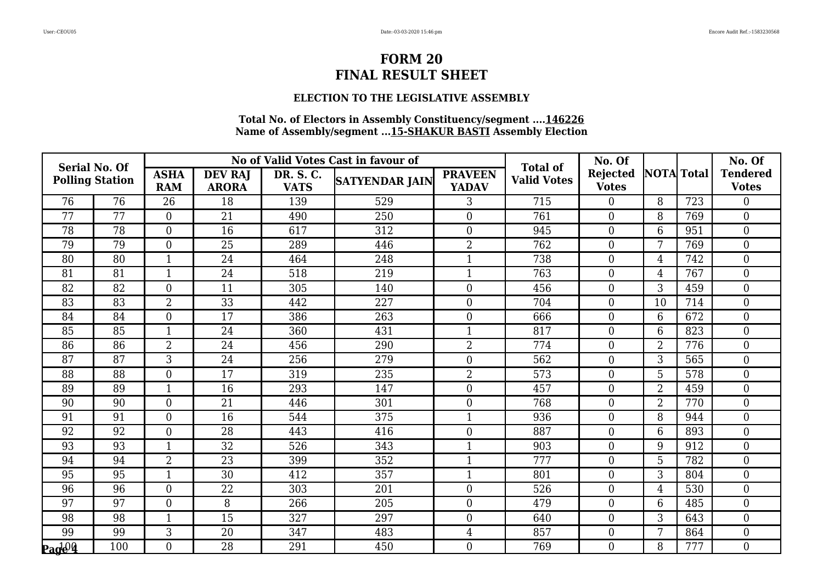### **ELECTION TO THE LEGISLATIVE ASSEMBLY**

| <b>Serial No. Of</b>                                    |                        |                           |                                |                          | No of Valid Votes Cast in favour of | <b>Total of</b>                | No. Of             |                                 |                   | No. Of |                                 |
|---------------------------------------------------------|------------------------|---------------------------|--------------------------------|--------------------------|-------------------------------------|--------------------------------|--------------------|---------------------------------|-------------------|--------|---------------------------------|
|                                                         | <b>Polling Station</b> | <b>ASHA</b><br><b>RAM</b> | <b>DEV RAJ</b><br><b>ARORA</b> | DR. S. C.<br><b>VATS</b> | <b>SATYENDAR JAIN</b>               | <b>PRAVEEN</b><br><b>YADAV</b> | <b>Valid Votes</b> | <b>Rejected</b><br><b>Votes</b> | <b>NOTA</b> Total |        | <b>Tendered</b><br><b>Votes</b> |
| 76                                                      | 76                     | 26                        | 18                             | 139                      | 529                                 | 3                              | 715                | $\overline{0}$                  | 8                 | 723    | 0                               |
| 77                                                      | 77                     | $\overline{0}$            | 21                             | 490                      | 250                                 | $\overline{0}$                 | 761                | $\boldsymbol{0}$                | 8                 | 769    | $\overline{0}$                  |
| 78                                                      | 78                     | $\overline{0}$            | 16                             | 617                      | 312                                 | $\overline{0}$                 | 945                | $\boldsymbol{0}$                | 6                 | 951    | $\overline{0}$                  |
| 79                                                      | 79                     | $\Omega$                  | 25                             | 289                      | 446                                 | $\overline{2}$                 | 762                | $\overline{0}$                  | 7                 | 769    | $\overline{0}$                  |
| 80                                                      | 80                     | $\mathbf{1}$              | 24                             | 464                      | 248                                 |                                | 738                | $\boldsymbol{0}$                | $\overline{4}$    | 742    | 0                               |
| 81                                                      | 81                     | $\mathbf{1}$              | 24                             | 518                      | 219                                 | 1                              | 763                | $\boldsymbol{0}$                | 4                 | 767    | $\overline{0}$                  |
| 82                                                      | 82                     | $\overline{0}$            | 11                             | 305                      | 140                                 | $\overline{0}$                 | 456                | $\boldsymbol{0}$                | 3                 | 459    | $\overline{0}$                  |
| 83                                                      | 83                     | $\overline{2}$            | 33                             | 442                      | 227                                 | $\overline{0}$                 | 704                | $\boldsymbol{0}$                | 10                | 714    | 0                               |
| 84                                                      | 84                     | $\overline{0}$            | 17                             | 386                      | 263                                 | $\overline{0}$                 | 666                | $\overline{0}$                  | 6                 | 672    | $\overline{0}$                  |
| 85                                                      | 85                     | $\mathbf{1}$              | 24                             | 360                      | 431                                 |                                | 817                | $\boldsymbol{0}$                | 6                 | 823    | $\overline{0}$                  |
| 86                                                      | $\overline{86}$        | $\overline{2}$            | 24                             | 456                      | 290                                 | $\overline{2}$                 | 774                | $\boldsymbol{0}$                | $\overline{2}$    | 776    | $\overline{0}$                  |
| 87                                                      | 87                     | 3                         | 24                             | 256                      | 279                                 | $\overline{0}$                 | 562                | $\boldsymbol{0}$                | 3                 | 565    | $\overline{0}$                  |
| 88                                                      | 88                     | $\overline{0}$            | 17                             | 319                      | 235                                 | 2                              | 573                | $\boldsymbol{0}$                | 5                 | 578    | $\overline{0}$                  |
| 89                                                      | 89                     | $\mathbf{1}$              | 16                             | 293                      | 147                                 | $\boldsymbol{0}$               | 457                | $\boldsymbol{0}$                | $\overline{2}$    | 459    | $\overline{0}$                  |
| 90                                                      | 90                     | $\overline{0}$            | 21                             | 446                      | 301                                 | $\overline{0}$                 | 768                | $\boldsymbol{0}$                | $\overline{2}$    | 770    | $\overline{0}$                  |
| 91                                                      | 91                     | $\overline{0}$            | 16                             | 544                      | 375                                 |                                | 936                | $\overline{0}$                  | 8                 | 944    | $\overline{0}$                  |
| 92                                                      | 92                     | $\overline{0}$            | 28                             | 443                      | 416                                 | $\boldsymbol{0}$               | 887                | $\boldsymbol{0}$                | 6                 | 893    | $\overline{0}$                  |
| 93                                                      | 93                     | $\mathbf{1}$              | 32                             | 526                      | 343                                 | 1                              | 903                | $\boldsymbol{0}$                | 9                 | 912    | $\overline{0}$                  |
| 94                                                      | 94                     | $2^{-}$                   | 23                             | 399                      | 352                                 |                                | 777                | $\boldsymbol{0}$                | 5                 | 782    | $\overline{0}$                  |
| $\overline{95}$                                         | $\overline{95}$        | $\overline{1}$            | $\overline{30}$                | 412                      | 357                                 |                                | 801                | $\boldsymbol{0}$                | 3                 | 804    | $\overline{0}$                  |
| 96                                                      | 96                     | $\Omega$                  | 22                             | 303                      | 201                                 | $\overline{0}$                 | 526                | $\overline{0}$                  | $\overline{4}$    | 530    | $\overline{0}$                  |
| 97                                                      | 97                     | $\overline{0}$            | 8                              | 266                      | 205                                 | $\overline{0}$                 | 479                | $\boldsymbol{0}$                | 6                 | 485    | $\overline{0}$                  |
| 98                                                      | 98                     | $\mathbf{1}$              | 15                             | 327                      | 297                                 | $\overline{0}$                 | 640                | $\boldsymbol{0}$                | 3                 | 643    | $\overline{0}$                  |
| 99                                                      | 99                     | 3                         | 20                             | 347                      | 483                                 | $\overline{4}$                 | 857                | $\boldsymbol{0}$                | 7                 | 864    | $\overline{0}$                  |
| $\mathbf{P}_{\mathbf{a}}$ d $\mathbf{Q}\mathbf{\Omega}$ | 100                    | $\overline{0}$            | 28                             | 291                      | 450                                 | $\overline{0}$                 | 769                | $\boldsymbol{0}$                | 8                 | 777    | $\overline{0}$                  |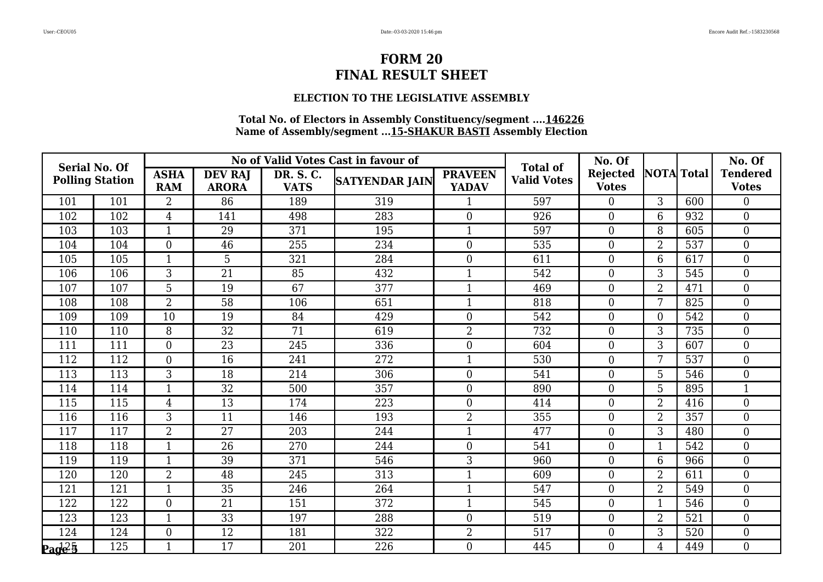#### **ELECTION TO THE LEGISLATIVE ASSEMBLY**

| <b>Serial No. Of</b> |                        |                           |                                |                          | No of Valid Votes Cast in favour of | <b>Total of</b>                | No. Of             |                                 |                   | No. Of |                                 |
|----------------------|------------------------|---------------------------|--------------------------------|--------------------------|-------------------------------------|--------------------------------|--------------------|---------------------------------|-------------------|--------|---------------------------------|
|                      | <b>Polling Station</b> | <b>ASHA</b><br><b>RAM</b> | <b>DEV RAJ</b><br><b>ARORA</b> | DR. S. C.<br><b>VATS</b> | <b>SATYENDAR JAIN</b>               | <b>PRAVEEN</b><br><b>YADAV</b> | <b>Valid Votes</b> | <b>Rejected</b><br><b>Votes</b> | <b>NOTA</b> Total |        | <b>Tendered</b><br><b>Votes</b> |
| 101                  | 101                    | 2                         | 86                             | 189                      | 319                                 |                                | 597                | $\boldsymbol{0}$                | 3                 | 600    | $\overline{0}$                  |
| 102                  | 102                    | $\overline{4}$            | 141                            | 498                      | 283                                 | $\boldsymbol{0}$               | 926                | $\boldsymbol{0}$                | 6                 | 932    | $\overline{0}$                  |
| 103                  | 103                    | $\mathbf{1}$              | 29                             | 371                      | 195                                 | $\mathbf{1}$                   | 597                | $\boldsymbol{0}$                | 8                 | 605    | $\overline{0}$                  |
| 104                  | 104                    | $\Omega$                  | 46                             | 255                      | 234                                 | $\overline{0}$                 | 535                | $\overline{0}$                  | $\overline{2}$    | 537    | $\overline{0}$                  |
| 105                  | 105                    | $\mathbf{1}$              | $5\phantom{.}$                 | 321                      | 284                                 | $\boldsymbol{0}$               | 611                | $\boldsymbol{0}$                | 6                 | 617    | $\overline{0}$                  |
| 106                  | 106                    | 3                         | 21                             | 85                       | 432                                 | $\mathbf{1}$                   | 542                | $\boldsymbol{0}$                | 3                 | 545    | $\overline{0}$                  |
| 107                  | 107                    | 5                         | 19                             | 67                       | 377                                 | $\mathbf{1}$                   | 469                | $\boldsymbol{0}$                | $\overline{2}$    | 471    | $\overline{0}$                  |
| 108                  | 108                    | $\overline{2}$            | 58                             | 106                      | 651                                 | $\mathbf{1}$                   | 818                | $\boldsymbol{0}$                | 7                 | 825    | 0                               |
| 109                  | 109                    | 10                        | 19                             | 84                       | 429                                 | $\overline{0}$                 | 542                | $\overline{0}$                  | $\overline{0}$    | 542    | $\overline{0}$                  |
| 110                  | 110                    | 8                         | 32                             | 71                       | 619                                 | $\overline{2}$                 | 732                | $\boldsymbol{0}$                | 3                 | 735    | $\overline{0}$                  |
| 111                  | 111                    | $\overline{0}$            | $\overline{23}$                | 245                      | 336                                 | $\overline{0}$                 | 604                | $\boldsymbol{0}$                | 3                 | 607    | $\overline{0}$                  |
| 112                  | 112                    | $\overline{0}$            | 16                             | 241                      | 272                                 | $\mathbf{1}$                   | 530                | $\boldsymbol{0}$                | 7                 | 537    | $\overline{0}$                  |
| 113                  | 113                    | 3                         | 18                             | 214                      | 306                                 | $\overline{0}$                 | 541                | $\boldsymbol{0}$                | 5                 | 546    | $\overline{0}$                  |
| 114                  | 114                    | $\mathbf{1}$              | $\overline{32}$                | 500                      | 357                                 | $\overline{0}$                 | 890                | $\boldsymbol{0}$                | 5                 | 895    |                                 |
| 115                  | 115                    | 4                         | 13                             | 174                      | 223                                 | $\overline{0}$                 | 414                | $\boldsymbol{0}$                | $\overline{2}$    | 416    | $\overline{0}$                  |
| 116                  | 116                    | 3                         | 11                             | 146                      | 193                                 | $\overline{2}$                 | 355                | $\overline{0}$                  | $\overline{2}$    | 357    | $\overline{0}$                  |
| 117                  | 117                    | $\overline{2}$            | 27                             | 203                      | 244                                 |                                | 477                | $\boldsymbol{0}$                | 3                 | 480    | $\overline{0}$                  |
| 118                  | 118                    | $\mathbf{1}$              | 26                             | 270                      | 244                                 | $\overline{0}$                 | 541                | $\boldsymbol{0}$                | $\mathbf{1}$      | 542    | $\overline{0}$                  |
| 119                  | 119                    |                           | 39                             | 371                      | 546                                 | 3                              | 960                | $\boldsymbol{0}$                | 6                 | 966    | $\overline{0}$                  |
| 120                  | 120                    | $\overline{2}$            | $\overline{48}$                | 245                      | 313                                 |                                | 609                | $\boldsymbol{0}$                | $\overline{2}$    | 611    | $\overline{0}$                  |
| 121                  | 121                    | 1                         | 35                             | 246                      | 264                                 | $\mathbf{1}$                   | 547                | $\overline{0}$                  | $\overline{2}$    | 549    | $\overline{0}$                  |
| 122                  | 122                    | $\Omega$                  | 21                             | 151                      | 372                                 | $\mathbf{1}$                   | 545                | $\boldsymbol{0}$                | $\mathbf{1}$      | 546    | $\overline{0}$                  |
| 123                  | 123                    | $\mathbf{1}$              | 33                             | 197                      | 288                                 | $\boldsymbol{0}$               | 519                | $\boldsymbol{0}$                | $\overline{2}$    | 521    | $\overline{0}$                  |
| 124                  | 124                    | $\overline{0}$            | 12                             | 181                      | 322                                 | $\overline{2}$                 | 517                | $\boldsymbol{0}$                | 3                 | 520    | 0                               |
| $\log \frac{125}{5}$ | 125                    |                           | 17                             | 201                      | 226                                 | $\boldsymbol{0}$               | 445                | $\boldsymbol{0}$                | 4                 | 449    | 0                               |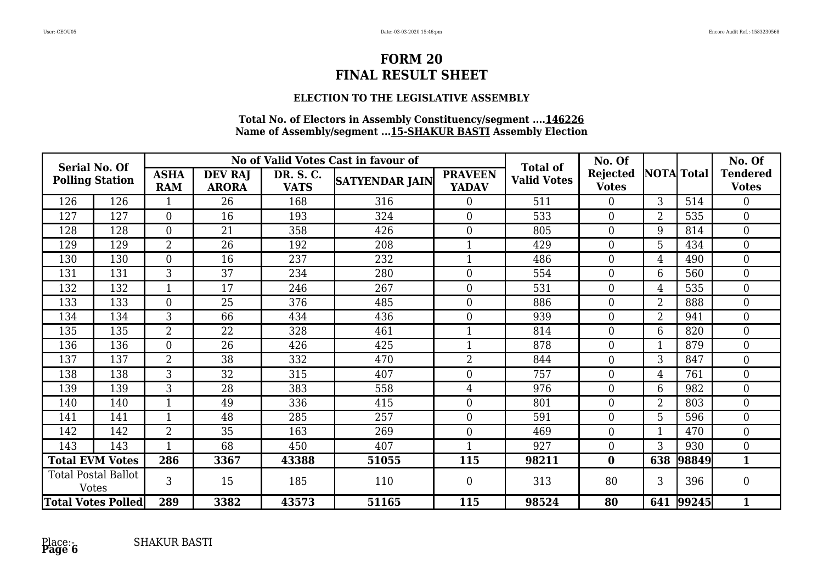### **ELECTION TO THE LEGISLATIVE ASSEMBLY**

| Serial No. Of<br><b>Polling Station</b>    |                           |                           |                                |                          | No of Valid Votes Cast in favour of |                                | No. Of                                |                                 |                   | No. Of |                                 |
|--------------------------------------------|---------------------------|---------------------------|--------------------------------|--------------------------|-------------------------------------|--------------------------------|---------------------------------------|---------------------------------|-------------------|--------|---------------------------------|
|                                            |                           | <b>ASHA</b><br><b>RAM</b> | <b>DEV RAJ</b><br><b>ARORA</b> | DR. S. C.<br><b>VATS</b> | <b>SATYENDAR JAIN</b>               | <b>PRAVEEN</b><br><b>YADAV</b> | <b>Total of</b><br><b>Valid Votes</b> | <b>Rejected</b><br><b>Votes</b> | <b>NOTA</b> Total |        | <b>Tendered</b><br><b>Votes</b> |
| 126                                        | 126                       |                           | 26                             | 168                      | 316                                 | $\overline{0}$                 | 511                                   | $\Omega$                        | 3                 | 514    | 0                               |
| 127                                        | 127                       | $\overline{0}$            | 16                             | 193                      | 324                                 | $\overline{0}$                 | 533                                   | $\theta$                        | $\overline{2}$    | 535    | $\overline{0}$                  |
| 128                                        | 128                       | $\overline{0}$            | 21                             | 358                      | 426                                 | $\overline{0}$                 | 805                                   | $\theta$                        | 9                 | 814    | $\overline{0}$                  |
| 129                                        | 129                       | $\overline{2}$            | 26                             | 192                      | 208                                 |                                | 429                                   | $\overline{0}$                  | 5                 | 434    | $\overline{0}$                  |
| 130                                        | 130                       | $\overline{0}$            | 16                             | 237                      | 232                                 |                                | 486                                   | $\overline{0}$                  | $\overline{4}$    | 490    | $\overline{0}$                  |
| 131                                        | 131                       | 3                         | 37                             | 234                      | 280                                 | $\overline{0}$                 | 554                                   | $\theta$                        | 6                 | 560    | $\overline{0}$                  |
| 132                                        | 132                       | $\mathbf 1$               | 17                             | 246                      | 267                                 | $\overline{0}$                 | 531                                   | $\theta$                        | $\overline{4}$    | 535    | $\overline{0}$                  |
| 133                                        | 133                       | $\Omega$                  | 25                             | 376                      | 485                                 | $\overline{0}$                 | 886                                   | $\theta$                        | $\overline{2}$    | 888    | $\overline{0}$                  |
| 134                                        | 134                       | 3                         | 66                             | 434                      | 436                                 | $\overline{0}$                 | 939                                   | $\overline{0}$                  | $\overline{2}$    | 941    | $\overline{0}$                  |
| 135                                        | 135                       | $\overline{2}$            | 22                             | 328                      | 461                                 |                                | 814                                   | $\overline{0}$                  | 6                 | 820    | $\overline{0}$                  |
| 136                                        | 136                       | $\overline{0}$            | 26                             | 426                      | 425                                 |                                | 878                                   | $\theta$                        |                   | 879    | $\overline{0}$                  |
| 137                                        | 137                       | $\overline{2}$            | 38                             | 332                      | 470                                 | $\overline{2}$                 | 844                                   | $\theta$                        | 3                 | 847    | $\overline{0}$                  |
| 138                                        | 138                       | 3                         | 32                             | 315                      | 407                                 | $\overline{0}$                 | 757                                   | $\theta$                        | $\overline{4}$    | 761    | $\overline{0}$                  |
| 139                                        | 139                       | 3                         | 28                             | 383                      | 558                                 | 4                              | 976                                   | $\overline{0}$                  | 6                 | 982    | $\overline{0}$                  |
| 140                                        | 140                       | -1                        | 49                             | 336                      | 415                                 | $\overline{0}$                 | 801                                   | $\overline{0}$                  | $\overline{2}$    | 803    | $\overline{0}$                  |
| 141                                        | 141                       |                           | 48                             | 285                      | 257                                 | $\boldsymbol{0}$               | 591                                   | $\overline{0}$                  | 5                 | 596    | $\overline{0}$                  |
| 142                                        | 142                       | 2                         | 35                             | 163                      | 269                                 | $\overline{0}$                 | 469                                   | $\theta$                        |                   | 470    | $\overline{0}$                  |
| 143                                        | 143                       |                           | 68                             | 450                      | 407                                 |                                | 927                                   | $\overline{0}$                  | 3                 | 930    | $\overline{0}$                  |
| <b>Total EVM Votes</b>                     |                           | 286                       | 3367                           | 43388                    | 51055                               | 115                            | 98211                                 | $\bf{0}$                        | 638               | 98849  | $\mathbf{1}$                    |
| <b>Total Postal Ballot</b><br><b>Votes</b> |                           | 3                         | 15                             | 185                      | 110                                 | $\boldsymbol{0}$               | 313                                   | 80                              | 3                 | 396    | 0                               |
|                                            | <b>Total Votes Polled</b> | 289                       | 3382                           | 43573                    | 51165                               | 115                            | 98524                                 | 80                              | 641               | 99245  | $\mathbf{1}$                    |